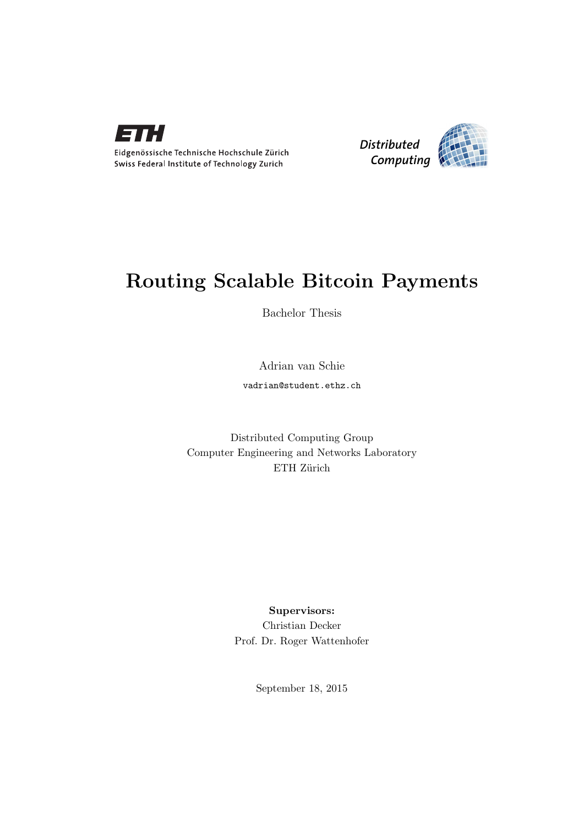



## Routing Scalable Bitcoin Payments

Bachelor Thesis

Adrian van Schie vadrian@student.ethz.ch

Distributed Computing Group Computer Engineering and Networks Laboratory ETH Zürich

> Supervisors: Christian Decker Prof. Dr. Roger Wattenhofer

> > September 18, 2015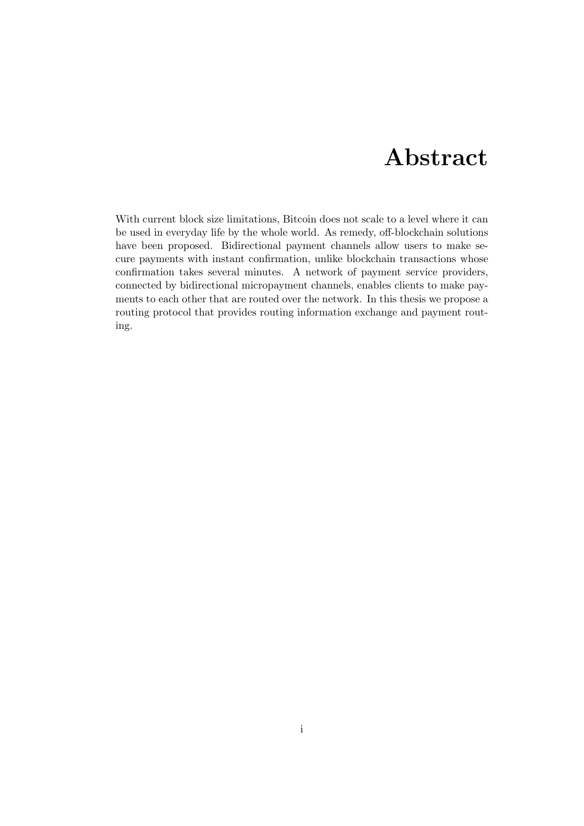## Abstract

<span id="page-1-0"></span>With current block size limitations, Bitcoin does not scale to a level where it can be used in everyday life by the whole world. As remedy, off-blockchain solutions have been proposed. Bidirectional payment channels allow users to make secure payments with instant confirmation, unlike blockchain transactions whose confirmation takes several minutes. A network of payment service providers, connected by bidirectional micropayment channels, enables clients to make payments to each other that are routed over the network. In this thesis we propose a routing protocol that provides routing information exchange and payment routing.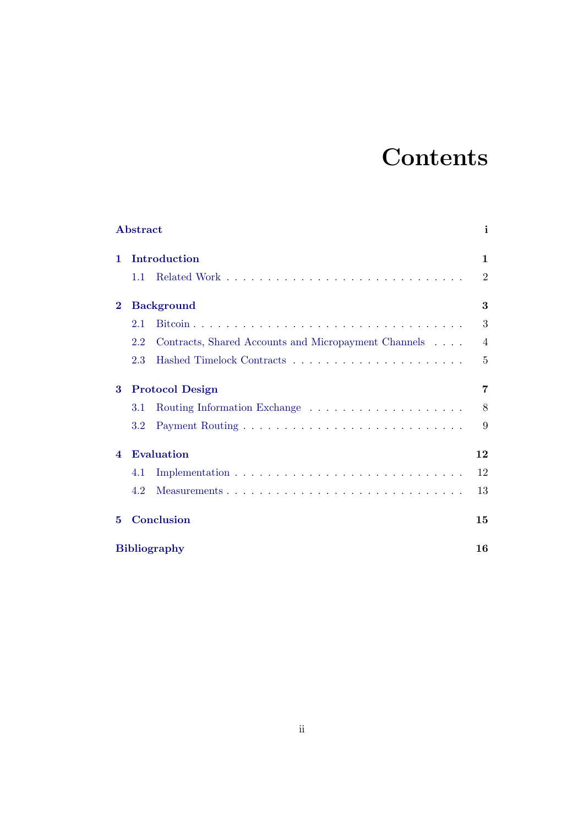# **Contents**

|                                             | ${\bf Abstract}$       |                                                      |                |
|---------------------------------------------|------------------------|------------------------------------------------------|----------------|
| 1.                                          | Introduction           |                                                      | 1              |
|                                             | 1.1                    |                                                      | $\overline{2}$ |
| $\bf{2}$                                    | <b>Background</b>      |                                                      |                |
|                                             | 2.1                    |                                                      | 3              |
|                                             | 2.2                    | Contracts, Shared Accounts and Micropayment Channels | $\overline{4}$ |
|                                             | 2.3                    |                                                      | 5              |
| 3                                           | <b>Protocol Design</b> |                                                      |                |
|                                             | 3.1                    |                                                      | 8              |
|                                             | 3.2                    |                                                      | 9              |
| <b>Evaluation</b><br>$\boldsymbol{\Lambda}$ |                        |                                                      | 12             |
|                                             | 4.1                    |                                                      | 12             |
|                                             | 4.2                    |                                                      | 13             |
| 5                                           | Conclusion             |                                                      | 15             |
|                                             | <b>Bibliography</b>    |                                                      |                |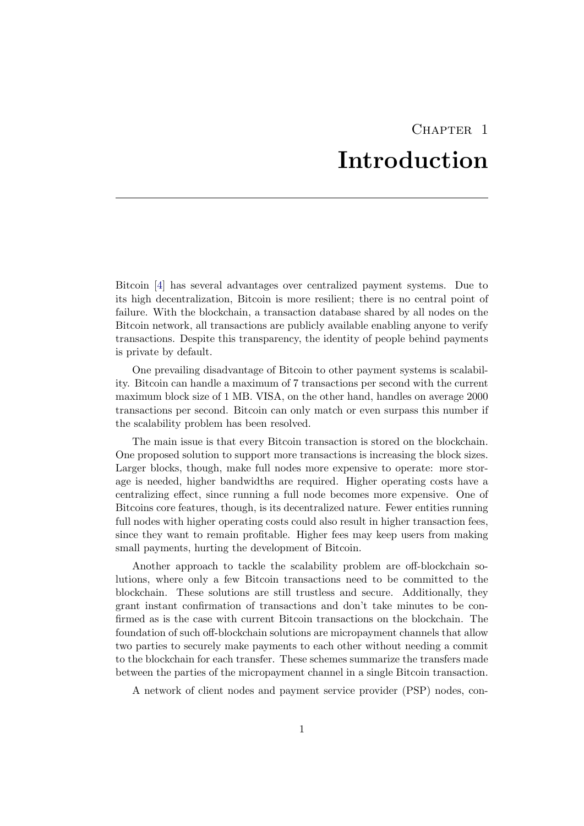## CHAPTER<sub>1</sub> Introduction

<span id="page-3-0"></span>Bitcoin [\[4\]](#page-18-1) has several advantages over centralized payment systems. Due to its high decentralization, Bitcoin is more resilient; there is no central point of failure. With the blockchain, a transaction database shared by all nodes on the Bitcoin network, all transactions are publicly available enabling anyone to verify transactions. Despite this transparency, the identity of people behind payments is private by default.

One prevailing disadvantage of Bitcoin to other payment systems is scalability. Bitcoin can handle a maximum of 7 transactions per second with the current maximum block size of 1 MB. VISA, on the other hand, handles on average 2000 transactions per second. Bitcoin can only match or even surpass this number if the scalability problem has been resolved.

The main issue is that every Bitcoin transaction is stored on the blockchain. One proposed solution to support more transactions is increasing the block sizes. Larger blocks, though, make full nodes more expensive to operate: more storage is needed, higher bandwidths are required. Higher operating costs have a centralizing effect, since running a full node becomes more expensive. One of Bitcoins core features, though, is its decentralized nature. Fewer entities running full nodes with higher operating costs could also result in higher transaction fees, since they want to remain profitable. Higher fees may keep users from making small payments, hurting the development of Bitcoin.

Another approach to tackle the scalability problem are off-blockchain solutions, where only a few Bitcoin transactions need to be committed to the blockchain. These solutions are still trustless and secure. Additionally, they grant instant confirmation of transactions and don't take minutes to be confirmed as is the case with current Bitcoin transactions on the blockchain. The foundation of such off-blockchain solutions are micropayment channels that allow two parties to securely make payments to each other without needing a commit to the blockchain for each transfer. These schemes summarize the transfers made between the parties of the micropayment channel in a single Bitcoin transaction.

A network of client nodes and payment service provider (PSP) nodes, con-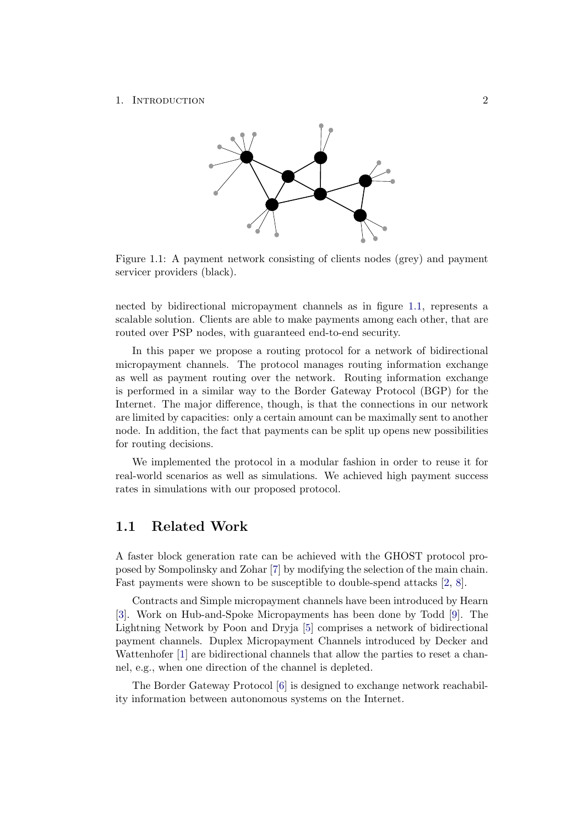#### <span id="page-4-1"></span>1. INTRODUCTION 2



Figure 1.1: A payment network consisting of clients nodes (grey) and payment servicer providers (black).

nected by bidirectional micropayment channels as in figure [1.1,](#page-4-1) represents a scalable solution. Clients are able to make payments among each other, that are routed over PSP nodes, with guaranteed end-to-end security.

In this paper we propose a routing protocol for a network of bidirectional micropayment channels. The protocol manages routing information exchange as well as payment routing over the network. Routing information exchange is performed in a similar way to the Border Gateway Protocol (BGP) for the Internet. The major difference, though, is that the connections in our network are limited by capacities: only a certain amount can be maximally sent to another node. In addition, the fact that payments can be split up opens new possibilities for routing decisions.

We implemented the protocol in a modular fashion in order to reuse it for real-world scenarios as well as simulations. We achieved high payment success rates in simulations with our proposed protocol.

### <span id="page-4-0"></span>1.1 Related Work

A faster block generation rate can be achieved with the GHOST protocol proposed by Sompolinsky and Zohar [\[7\]](#page-18-2) by modifying the selection of the main chain. Fast payments were shown to be susceptible to double-spend attacks [\[2,](#page-18-3) [8\]](#page-18-4).

Contracts and Simple micropayment channels have been introduced by Hearn [\[3\]](#page-18-5). Work on Hub-and-Spoke Micropayments has been done by Todd [\[9\]](#page-18-6). The Lightning Network by Poon and Dryja [\[5\]](#page-18-7) comprises a network of bidirectional payment channels. Duplex Micropayment Channels introduced by Decker and Wattenhofer [\[1\]](#page-18-8) are bidirectional channels that allow the parties to reset a channel, e.g., when one direction of the channel is depleted.

The Border Gateway Protocol [\[6\]](#page-18-9) is designed to exchange network reachability information between autonomous systems on the Internet.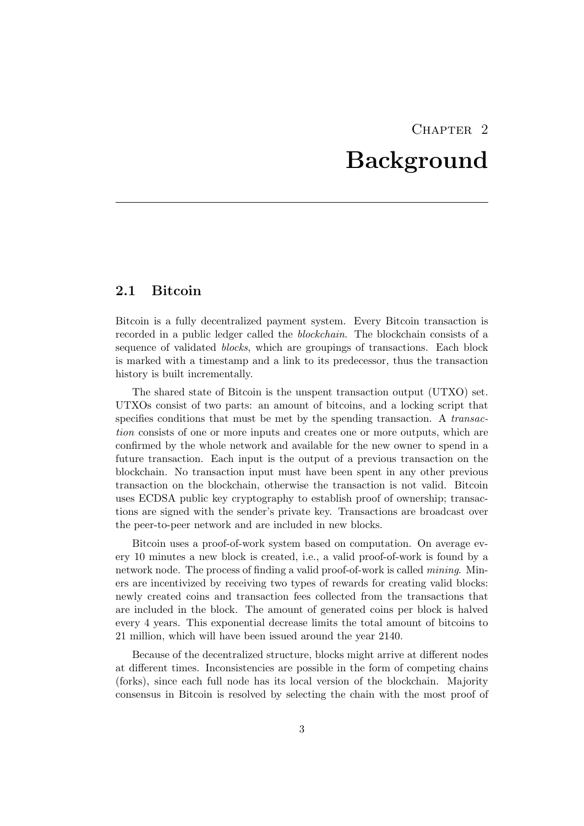## CHAPTER<sub>2</sub> Background

## <span id="page-5-1"></span><span id="page-5-0"></span>2.1 Bitcoin

Bitcoin is a fully decentralized payment system. Every Bitcoin transaction is recorded in a public ledger called the blockchain. The blockchain consists of a sequence of validated *blocks*, which are groupings of transactions. Each block is marked with a timestamp and a link to its predecessor, thus the transaction history is built incrementally.

The shared state of Bitcoin is the unspent transaction output (UTXO) set. UTXOs consist of two parts: an amount of bitcoins, and a locking script that specifies conditions that must be met by the spending transaction. A transaction consists of one or more inputs and creates one or more outputs, which are confirmed by the whole network and available for the new owner to spend in a future transaction. Each input is the output of a previous transaction on the blockchain. No transaction input must have been spent in any other previous transaction on the blockchain, otherwise the transaction is not valid. Bitcoin uses ECDSA public key cryptography to establish proof of ownership; transactions are signed with the sender's private key. Transactions are broadcast over the peer-to-peer network and are included in new blocks.

Bitcoin uses a proof-of-work system based on computation. On average every 10 minutes a new block is created, i.e., a valid proof-of-work is found by a network node. The process of finding a valid proof-of-work is called *mining*. Miners are incentivized by receiving two types of rewards for creating valid blocks: newly created coins and transaction fees collected from the transactions that are included in the block. The amount of generated coins per block is halved every 4 years. This exponential decrease limits the total amount of bitcoins to 21 million, which will have been issued around the year 2140.

Because of the decentralized structure, blocks might arrive at different nodes at different times. Inconsistencies are possible in the form of competing chains (forks), since each full node has its local version of the blockchain. Majority consensus in Bitcoin is resolved by selecting the chain with the most proof of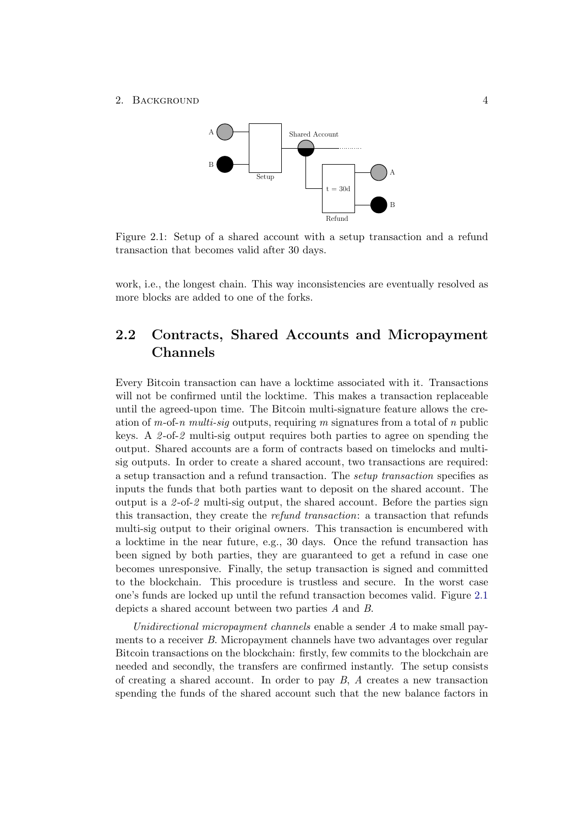#### <span id="page-6-1"></span>2. BACKGROUND 4



Figure 2.1: Setup of a shared account with a setup transaction and a refund transaction that becomes valid after 30 days.

work, i.e., the longest chain. This way inconsistencies are eventually resolved as more blocks are added to one of the forks.

## <span id="page-6-0"></span>2.2 Contracts, Shared Accounts and Micropayment Channels

Every Bitcoin transaction can have a locktime associated with it. Transactions will not be confirmed until the locktime. This makes a transaction replaceable until the agreed-upon time. The Bitcoin multi-signature feature allows the creation of m-of-n multi-sig outputs, requiring m signatures from a total of n public keys. A 2 -of-2 multi-sig output requires both parties to agree on spending the output. Shared accounts are a form of contracts based on timelocks and multisig outputs. In order to create a shared account, two transactions are required: a setup transaction and a refund transaction. The setup transaction specifies as inputs the funds that both parties want to deposit on the shared account. The output is a 2-of-2 multi-sig output, the shared account. Before the parties sign this transaction, they create the refund transaction: a transaction that refunds multi-sig output to their original owners. This transaction is encumbered with a locktime in the near future, e.g., 30 days. Once the refund transaction has been signed by both parties, they are guaranteed to get a refund in case one becomes unresponsive. Finally, the setup transaction is signed and committed to the blockchain. This procedure is trustless and secure. In the worst case one's funds are locked up until the refund transaction becomes valid. Figure [2.1](#page-6-1) depicts a shared account between two parties A and B.

Unidirectional micropayment channels enable a sender A to make small payments to a receiver B. Micropayment channels have two advantages over regular Bitcoin transactions on the blockchain: firstly, few commits to the blockchain are needed and secondly, the transfers are confirmed instantly. The setup consists of creating a shared account. In order to pay  $B$ ,  $A$  creates a new transaction spending the funds of the shared account such that the new balance factors in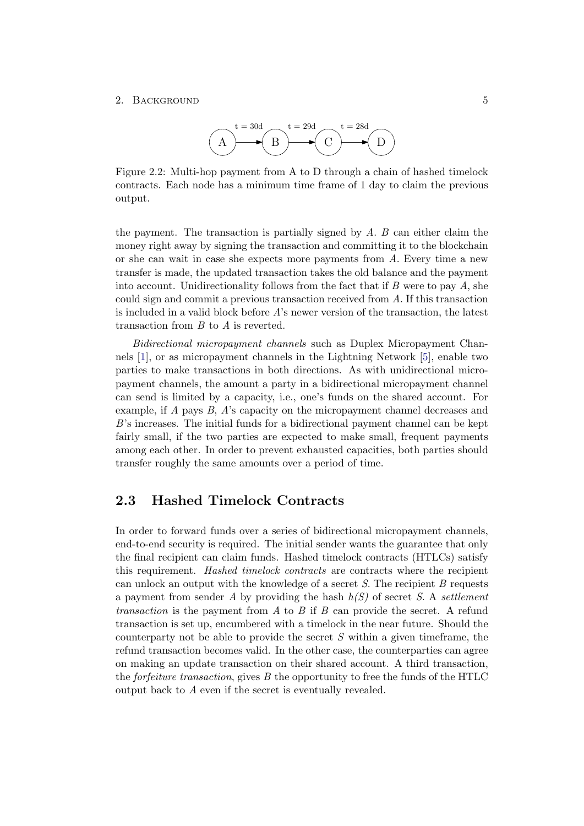#### <span id="page-7-1"></span>2. BACKGROUND 5



Figure 2.2: Multi-hop payment from A to D through a chain of hashed timelock contracts. Each node has a minimum time frame of 1 day to claim the previous output.

the payment. The transaction is partially signed by  $A$ .  $B$  can either claim the money right away by signing the transaction and committing it to the blockchain or she can wait in case she expects more payments from A. Every time a new transfer is made, the updated transaction takes the old balance and the payment into account. Unidirectionality follows from the fact that if  $B$  were to pay  $A$ , she could sign and commit a previous transaction received from A. If this transaction is included in a valid block before A's newer version of the transaction, the latest transaction from B to A is reverted.

Bidirectional micropayment channels such as Duplex Micropayment Channels [\[1\]](#page-18-8), or as micropayment channels in the Lightning Network [\[5\]](#page-18-7), enable two parties to make transactions in both directions. As with unidirectional micropayment channels, the amount a party in a bidirectional micropayment channel can send is limited by a capacity, i.e., one's funds on the shared account. For example, if A pays B, A's capacity on the micropayment channel decreases and B's increases. The initial funds for a bidirectional payment channel can be kept fairly small, if the two parties are expected to make small, frequent payments among each other. In order to prevent exhausted capacities, both parties should transfer roughly the same amounts over a period of time.

## <span id="page-7-0"></span>2.3 Hashed Timelock Contracts

In order to forward funds over a series of bidirectional micropayment channels, end-to-end security is required. The initial sender wants the guarantee that only the final recipient can claim funds. Hashed timelock contracts (HTLCs) satisfy this requirement. Hashed timelock contracts are contracts where the recipient can unlock an output with the knowledge of a secret  $S$ . The recipient  $B$  requests a payment from sender A by providing the hash  $h(S)$  of secret S. A settlement *transaction* is the payment from A to B if B can provide the secret. A refund transaction is set up, encumbered with a timelock in the near future. Should the counterparty not be able to provide the secret  $S$  within a given timeframe, the refund transaction becomes valid. In the other case, the counterparties can agree on making an update transaction on their shared account. A third transaction, the forfeiture transaction, gives B the opportunity to free the funds of the HTLC output back to A even if the secret is eventually revealed.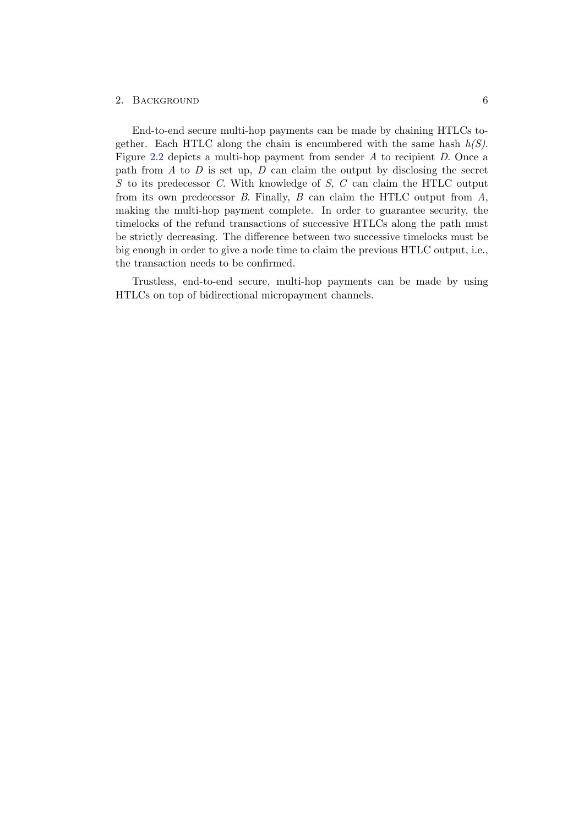### 2. BACKGROUND 6

End-to-end secure multi-hop payments can be made by chaining HTLCs together. Each HTLC along the chain is encumbered with the same hash  $h(S)$ . Figure [2.2](#page-7-1) depicts a multi-hop payment from sender A to recipient D. Once a path from  $A$  to  $D$  is set up,  $D$  can claim the output by disclosing the secret S to its predecessor C. With knowledge of S, C can claim the HTLC output from its own predecessor  $B$ . Finally,  $B$  can claim the HTLC output from  $A$ , making the multi-hop payment complete. In order to guarantee security, the timelocks of the refund transactions of successive HTLCs along the path must be strictly decreasing. The difference between two successive timelocks must be big enough in order to give a node time to claim the previous HTLC output, i.e., the transaction needs to be confirmed.

Trustless, end-to-end secure, multi-hop payments can be made by using HTLCs on top of bidirectional micropayment channels.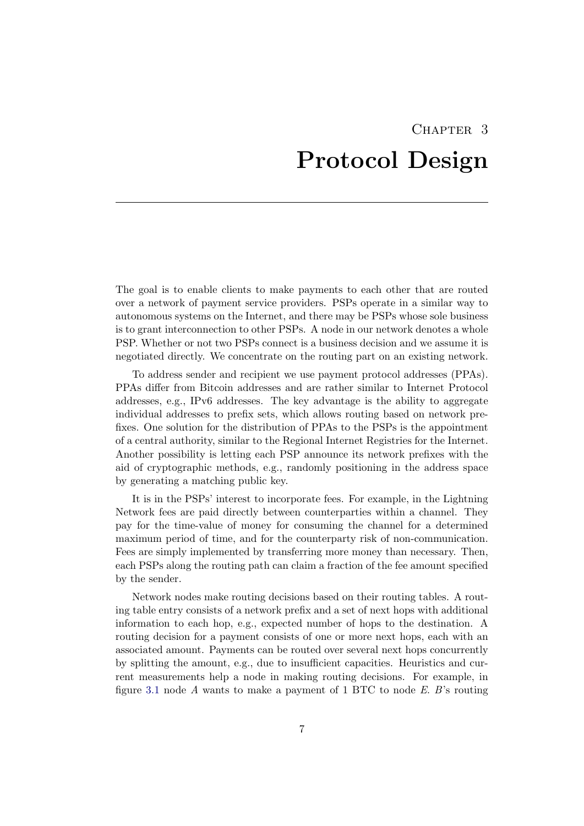# CHAPTER<sub>3</sub> Protocol Design

<span id="page-9-0"></span>The goal is to enable clients to make payments to each other that are routed over a network of payment service providers. PSPs operate in a similar way to autonomous systems on the Internet, and there may be PSPs whose sole business is to grant interconnection to other PSPs. A node in our network denotes a whole PSP. Whether or not two PSPs connect is a business decision and we assume it is negotiated directly. We concentrate on the routing part on an existing network.

To address sender and recipient we use payment protocol addresses (PPAs). PPAs differ from Bitcoin addresses and are rather similar to Internet Protocol addresses, e.g., IPv6 addresses. The key advantage is the ability to aggregate individual addresses to prefix sets, which allows routing based on network prefixes. One solution for the distribution of PPAs to the PSPs is the appointment of a central authority, similar to the Regional Internet Registries for the Internet. Another possibility is letting each PSP announce its network prefixes with the aid of cryptographic methods, e.g., randomly positioning in the address space by generating a matching public key.

It is in the PSPs' interest to incorporate fees. For example, in the Lightning Network fees are paid directly between counterparties within a channel. They pay for the time-value of money for consuming the channel for a determined maximum period of time, and for the counterparty risk of non-communication. Fees are simply implemented by transferring more money than necessary. Then, each PSPs along the routing path can claim a fraction of the fee amount specified by the sender.

Network nodes make routing decisions based on their routing tables. A routing table entry consists of a network prefix and a set of next hops with additional information to each hop, e.g., expected number of hops to the destination. A routing decision for a payment consists of one or more next hops, each with an associated amount. Payments can be routed over several next hops concurrently by splitting the amount, e.g., due to insufficient capacities. Heuristics and current measurements help a node in making routing decisions. For example, in figure [3.1](#page-10-1) node A wants to make a payment of 1 BTC to node  $E$ . B's routing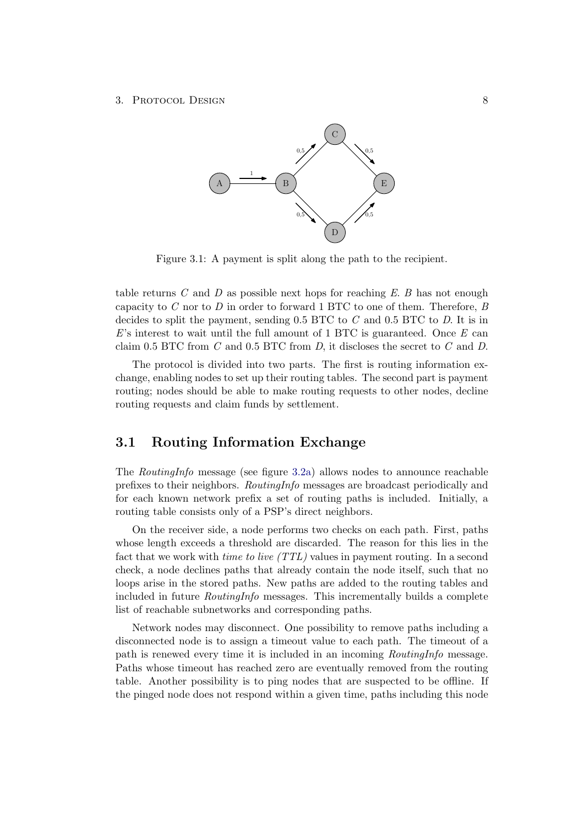#### <span id="page-10-1"></span>3. Protocol Design 8



Figure 3.1: A payment is split along the path to the recipient.

table returns  $C$  and  $D$  as possible next hops for reaching  $E$ .  $B$  has not enough capacity to  $C$  nor to  $D$  in order to forward 1 BTC to one of them. Therefore,  $B$ decides to split the payment, sending  $0.5$  BTC to  $C$  and  $0.5$  BTC to  $D$ . It is in  $E$ 's interest to wait until the full amount of 1 BTC is guaranteed. Once  $E$  can claim 0.5 BTC from  $C$  and 0.5 BTC from  $D$ , it discloses the secret to  $C$  and  $D$ .

The protocol is divided into two parts. The first is routing information exchange, enabling nodes to set up their routing tables. The second part is payment routing; nodes should be able to make routing requests to other nodes, decline routing requests and claim funds by settlement.

## <span id="page-10-0"></span>3.1 Routing Information Exchange

The RoutingInfo message (see figure [3.2a\)](#page-11-1) allows nodes to announce reachable prefixes to their neighbors. RoutingInfo messages are broadcast periodically and for each known network prefix a set of routing paths is included. Initially, a routing table consists only of a PSP's direct neighbors.

On the receiver side, a node performs two checks on each path. First, paths whose length exceeds a threshold are discarded. The reason for this lies in the fact that we work with *time to live (TTL)* values in payment routing. In a second check, a node declines paths that already contain the node itself, such that no loops arise in the stored paths. New paths are added to the routing tables and included in future RoutingInfo messages. This incrementally builds a complete list of reachable subnetworks and corresponding paths.

Network nodes may disconnect. One possibility to remove paths including a disconnected node is to assign a timeout value to each path. The timeout of a path is renewed every time it is included in an incoming RoutingInfo message. Paths whose timeout has reached zero are eventually removed from the routing table. Another possibility is to ping nodes that are suspected to be offline. If the pinged node does not respond within a given time, paths including this node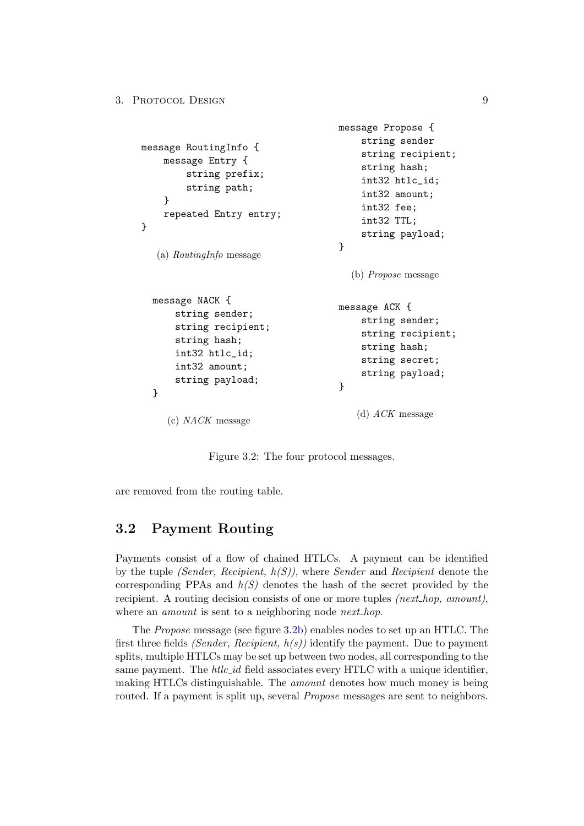```
message RoutingInfo {
    message Entry {
        string prefix;
        string path;
    }
    repeated Entry entry;
}
   (a) RoutingInfo message
                                      message Propose {
                                          string sender
                                          string recipient;
                                          string hash;
                                          int32 htlc_id;
                                          int32 amount;
                                          int32 fee;
                                          int32 TTL;
                                          string payload;
                                      }
                                        (b) Propose message
  message NACK {
      string sender;
      string recipient;
      string hash;
      int32 htlc_id;
      int32 amount;
      string payload;
  }
     (c) NACK message
                                     message ACK {
                                          string sender;
                                          string recipient;
                                          string hash;
                                          string secret;
                                          string payload;
                                      }
                                         (d) ACK message
```
Figure 3.2: The four protocol messages.

are removed from the routing table.

## <span id="page-11-0"></span>3.2 Payment Routing

Payments consist of a flow of chained HTLCs. A payment can be identified by the tuple *(Sender, Recipient,*  $h(S)$ *)*, where *Sender* and *Recipient* denote the corresponding PPAs and  $h(S)$  denotes the hash of the secret provided by the recipient. A routing decision consists of one or more tuples  $(next_hop, amount)$ , where an *amount* is sent to a neighboring node *next\_hop*.

The Propose message (see figure [3.2b\)](#page-11-1) enables nodes to set up an HTLC. The first three fields *(Sender, Recipient,*  $h(s)$ *)* identify the payment. Due to payment splits, multiple HTLCs may be set up between two nodes, all corresponding to the same payment. The  $htlc_id$  field associates every HTLC with a unique identifier, making HTLCs distinguishable. The *amount* denotes how much money is being routed. If a payment is split up, several *Propose* messages are sent to neighbors.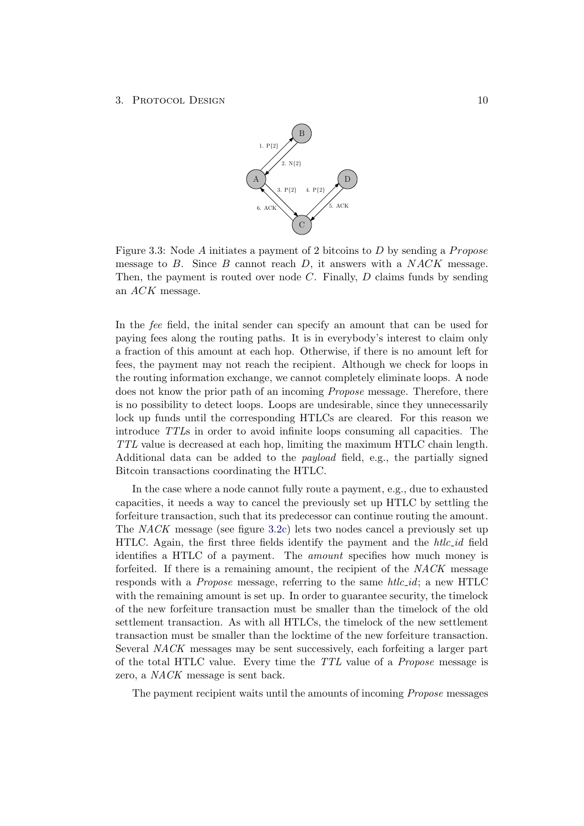#### <span id="page-12-0"></span>3. Protocol Design 10



Figure 3.3: Node  $A$  initiates a payment of 2 bitcoins to  $D$  by sending a *Propose* message to  $B$ . Since  $B$  cannot reach  $D$ , it answers with a  $NACK$  message. Then, the payment is routed over node  $C$ . Finally,  $D$  claims funds by sending an ACK message.

In the fee field, the inital sender can specify an amount that can be used for paying fees along the routing paths. It is in everybody's interest to claim only a fraction of this amount at each hop. Otherwise, if there is no amount left for fees, the payment may not reach the recipient. Although we check for loops in the routing information exchange, we cannot completely eliminate loops. A node does not know the prior path of an incoming *Propose* message. Therefore, there is no possibility to detect loops. Loops are undesirable, since they unnecessarily lock up funds until the corresponding HTLCs are cleared. For this reason we introduce TTLs in order to avoid infinite loops consuming all capacities. The TTL value is decreased at each hop, limiting the maximum HTLC chain length. Additional data can be added to the payload field, e.g., the partially signed Bitcoin transactions coordinating the HTLC.

In the case where a node cannot fully route a payment, e.g., due to exhausted capacities, it needs a way to cancel the previously set up HTLC by settling the forfeiture transaction, such that its predecessor can continue routing the amount. The NACK message (see figure [3.2c\)](#page-11-1) lets two nodes cancel a previously set up HTLC. Again, the first three fields identify the payment and the  $htlc_id$  field identifies a HTLC of a payment. The amount specifies how much money is forfeited. If there is a remaining amount, the recipient of the NACK message responds with a *Propose* message, referring to the same  $htlc_id$ ; a new HTLC with the remaining amount is set up. In order to guarantee security, the timelock of the new forfeiture transaction must be smaller than the timelock of the old settlement transaction. As with all HTLCs, the timelock of the new settlement transaction must be smaller than the locktime of the new forfeiture transaction. Several NACK messages may be sent successively, each forfeiting a larger part of the total HTLC value. Every time the TTL value of a Propose message is zero, a NACK message is sent back.

The payment recipient waits until the amounts of incoming Propose messages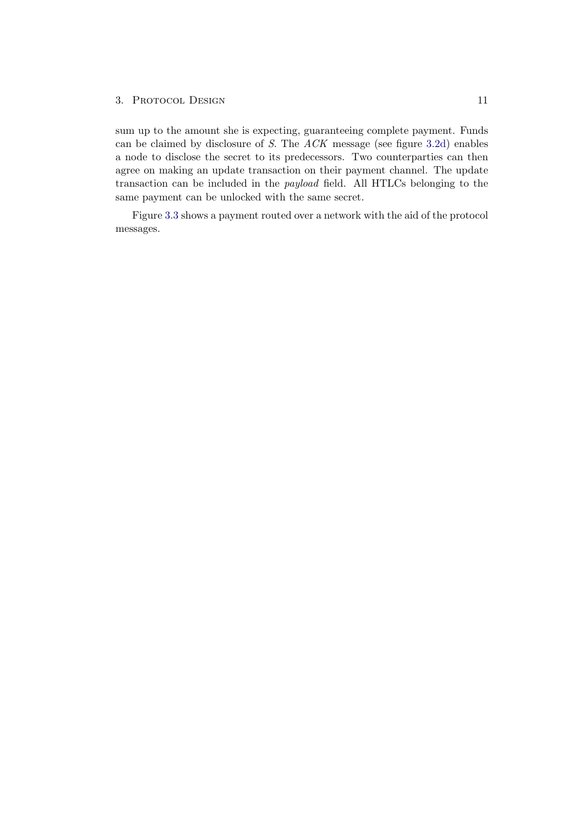#### 3. PROTOCOL DESIGN 11

sum up to the amount she is expecting, guaranteeing complete payment. Funds can be claimed by disclosure of S. The ACK message (see figure [3.2d\)](#page-11-1) enables a node to disclose the secret to its predecessors. Two counterparties can then agree on making an update transaction on their payment channel. The update transaction can be included in the payload field. All HTLCs belonging to the same payment can be unlocked with the same secret.

Figure [3.3](#page-12-0) shows a payment routed over a network with the aid of the protocol messages.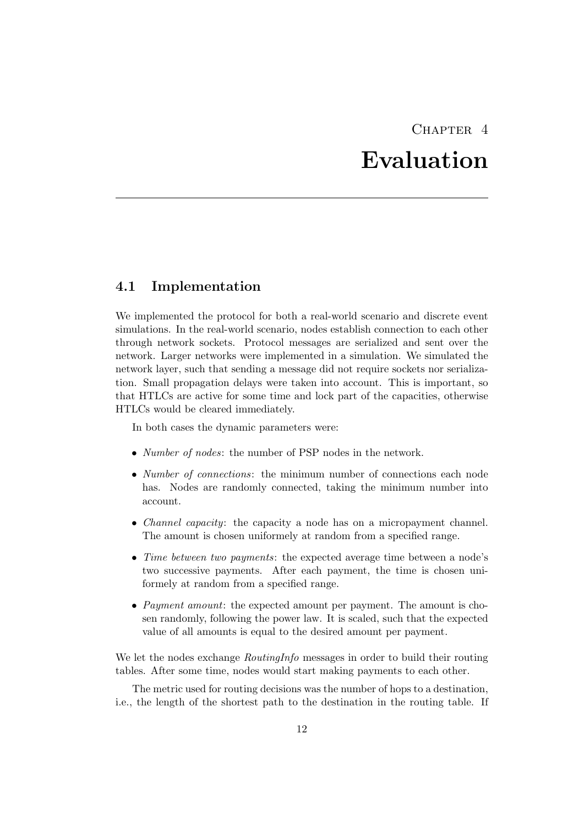# CHAPTER<sub>4</sub>

# Evaluation

## <span id="page-14-1"></span><span id="page-14-0"></span>4.1 Implementation

We implemented the protocol for both a real-world scenario and discrete event simulations. In the real-world scenario, nodes establish connection to each other through network sockets. Protocol messages are serialized and sent over the network. Larger networks were implemented in a simulation. We simulated the network layer, such that sending a message did not require sockets nor serialization. Small propagation delays were taken into account. This is important, so that HTLCs are active for some time and lock part of the capacities, otherwise HTLCs would be cleared immediately.

In both cases the dynamic parameters were:

- *Number of nodes*: the number of PSP nodes in the network.
- *Number of connections*: the minimum number of connections each node has. Nodes are randomly connected, taking the minimum number into account.
- *Channel capacity*: the capacity a node has on a micropayment channel. The amount is chosen uniformely at random from a specified range.
- Time between two payments: the expected average time between a node's two successive payments. After each payment, the time is chosen uniformely at random from a specified range.
- *Payment amount*: the expected amount per payment. The amount is chosen randomly, following the power law. It is scaled, such that the expected value of all amounts is equal to the desired amount per payment.

We let the nodes exchange *RoutingInfo* messages in order to build their routing tables. After some time, nodes would start making payments to each other.

The metric used for routing decisions was the number of hops to a destination, i.e., the length of the shortest path to the destination in the routing table. If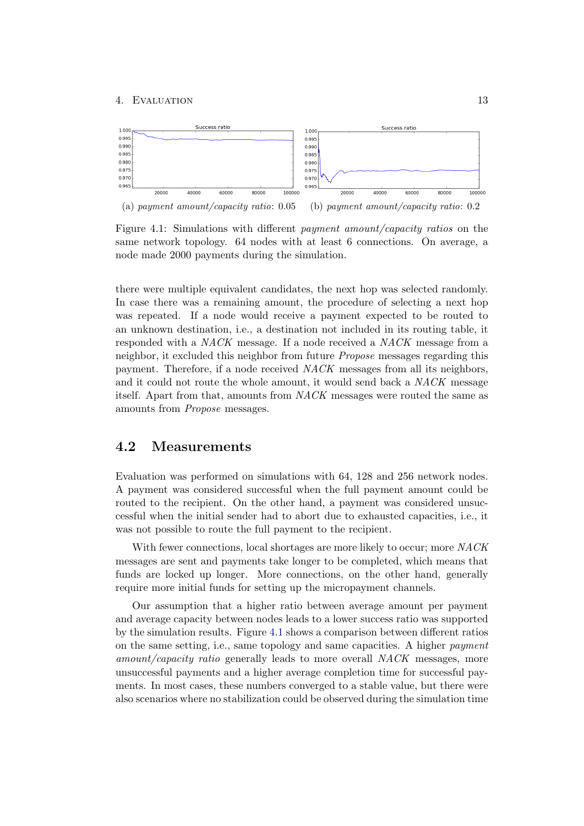#### 4. Evaluation 13

<span id="page-15-1"></span>

Figure 4.1: Simulations with different payment amount/capacity ratios on the same network topology. 64 nodes with at least 6 connections. On average, a node made 2000 payments during the simulation.

there were multiple equivalent candidates, the next hop was selected randomly. In case there was a remaining amount, the procedure of selecting a next hop was repeated. If a node would receive a payment expected to be routed to an unknown destination, i.e., a destination not included in its routing table, it responded with a NACK message. If a node received a NACK message from a neighbor, it excluded this neighbor from future Propose messages regarding this payment. Therefore, if a node received NACK messages from all its neighbors, and it could not route the whole amount, it would send back a NACK message itself. Apart from that, amounts from NACK messages were routed the same as amounts from Propose messages.

## <span id="page-15-0"></span>4.2 Measurements

Evaluation was performed on simulations with 64, 128 and 256 network nodes. A payment was considered successful when the full payment amount could be routed to the recipient. On the other hand, a payment was considered unsuccessful when the initial sender had to abort due to exhausted capacities, i.e., it was not possible to route the full payment to the recipient.

With fewer connections, local shortages are more likely to occur; more NACK messages are sent and payments take longer to be completed, which means that funds are locked up longer. More connections, on the other hand, generally require more initial funds for setting up the micropayment channels.

Our assumption that a higher ratio between average amount per payment and average capacity between nodes leads to a lower success ratio was supported by the simulation results. Figure [4.1](#page-15-1) shows a comparison between different ratios on the same setting, i.e., same topology and same capacities. A higher payment amount/capacity ratio generally leads to more overall NACK messages, more unsuccessful payments and a higher average completion time for successful payments. In most cases, these numbers converged to a stable value, but there were also scenarios where no stabilization could be observed during the simulation time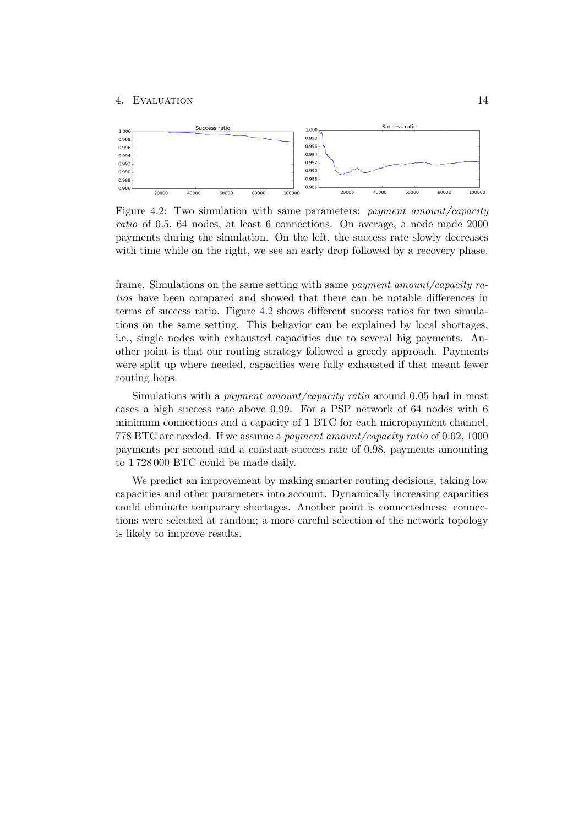<span id="page-16-0"></span>

Figure 4.2: Two simulation with same parameters: payment amount/capacity ratio of 0.5, 64 nodes, at least 6 connections. On average, a node made 2000 payments during the simulation. On the left, the success rate slowly decreases with time while on the right, we see an early drop followed by a recovery phase.

frame. Simulations on the same setting with same payment amount/capacity ratios have been compared and showed that there can be notable differences in terms of success ratio. Figure [4.2](#page-16-0) shows different success ratios for two simulations on the same setting. This behavior can be explained by local shortages, i.e., single nodes with exhausted capacities due to several big payments. Another point is that our routing strategy followed a greedy approach. Payments were split up where needed, capacities were fully exhausted if that meant fewer routing hops.

Simulations with a *payment amount/capacity ratio* around 0.05 had in most cases a high success rate above 0.99. For a PSP network of 64 nodes with 6 minimum connections and a capacity of 1 BTC for each micropayment channel, 778 BTC are needed. If we assume a payment amount/capacity ratio of 0.02, 1000 payments per second and a constant success rate of 0.98, payments amounting to 1 728 000 BTC could be made daily.

We predict an improvement by making smarter routing decisions, taking low capacities and other parameters into account. Dynamically increasing capacities could eliminate temporary shortages. Another point is connectedness: connections were selected at random; a more careful selection of the network topology is likely to improve results.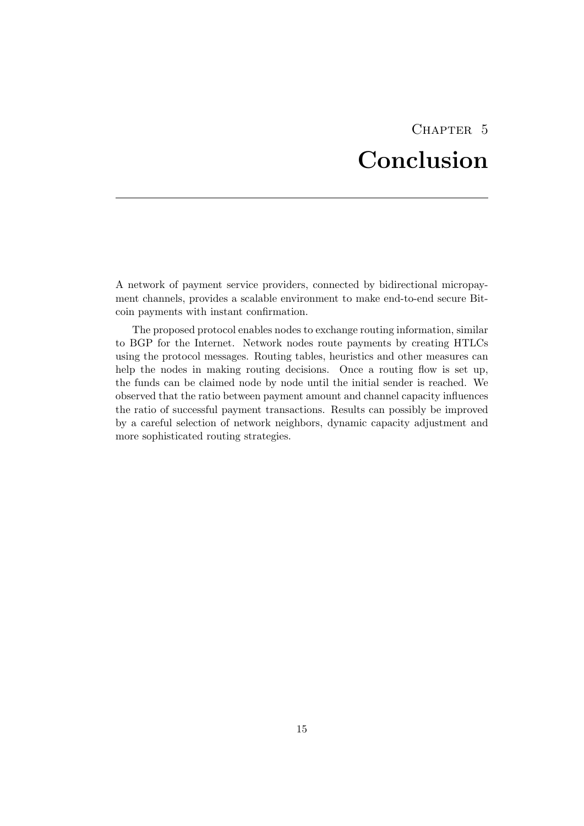## CHAPTER<sub>5</sub> Conclusion

<span id="page-17-0"></span>A network of payment service providers, connected by bidirectional micropayment channels, provides a scalable environment to make end-to-end secure Bitcoin payments with instant confirmation.

The proposed protocol enables nodes to exchange routing information, similar to BGP for the Internet. Network nodes route payments by creating HTLCs using the protocol messages. Routing tables, heuristics and other measures can help the nodes in making routing decisions. Once a routing flow is set up, the funds can be claimed node by node until the initial sender is reached. We observed that the ratio between payment amount and channel capacity influences the ratio of successful payment transactions. Results can possibly be improved by a careful selection of network neighbors, dynamic capacity adjustment and more sophisticated routing strategies.